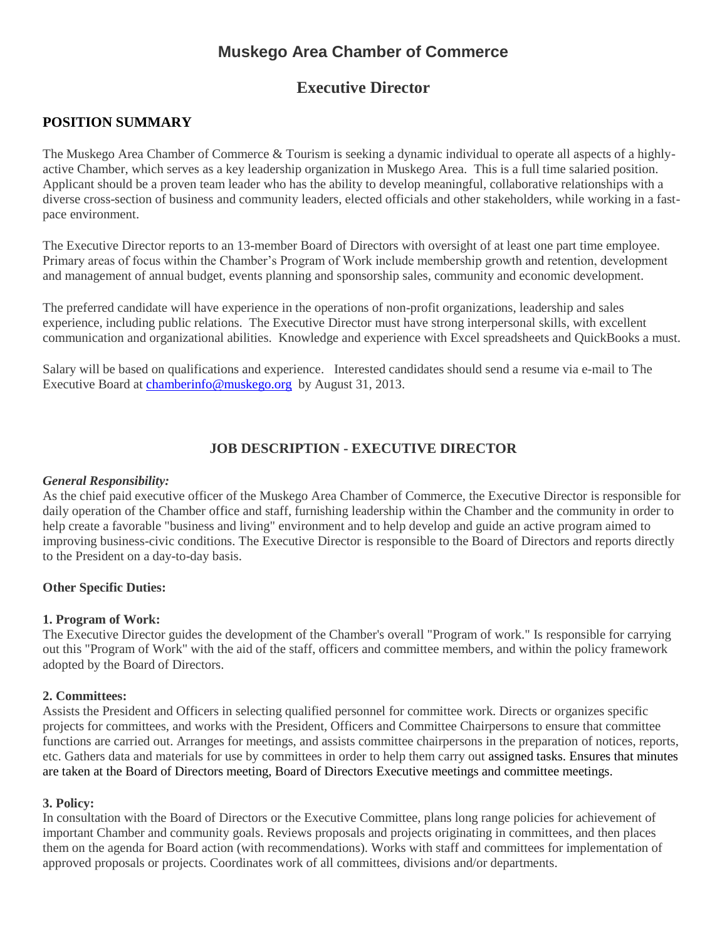# **Muskego Area Chamber of Commerce**

## **Executive Director**

## **POSITION SUMMARY**

The Muskego Area Chamber of Commerce & Tourism is seeking a dynamic individual to operate all aspects of a highlyactive Chamber, which serves as a key leadership organization in Muskego Area. This is a full time salaried position. Applicant should be a proven team leader who has the ability to develop meaningful, collaborative relationships with a diverse cross-section of business and community leaders, elected officials and other stakeholders, while working in a fastpace environment.

The Executive Director reports to an 13-member Board of Directors with oversight of at least one part time employee. Primary areas of focus within the Chamber's Program of Work include membership growth and retention, development and management of annual budget, events planning and sponsorship sales, community and economic development.

The preferred candidate will have experience in the operations of non-profit organizations, leadership and sales experience, including public relations. The Executive Director must have strong interpersonal skills, with excellent communication and organizational abilities. Knowledge and experience with Excel spreadsheets and QuickBooks a must.

Salary will be based on qualifications and experience. Interested candidates should send a resume via e-mail to The Executive Board at [chamberinfo@muskego.org](mailto:chamberinfo@muskego.org) by August 31, 2013.

## **JOB DESCRIPTION - EXECUTIVE DIRECTOR**

#### *General Responsibility:*

As the chief paid executive officer of the Muskego Area Chamber of Commerce, the Executive Director is responsible for daily operation of the Chamber office and staff, furnishing leadership within the Chamber and the community in order to help create a favorable "business and living" environment and to help develop and guide an active program aimed to improving business-civic conditions. The Executive Director is responsible to the Board of Directors and reports directly to the President on a day-to-day basis.

#### **Other Specific Duties:**

#### **1. Program of Work:**

The Executive Director guides the development of the Chamber's overall "Program of work." Is responsible for carrying out this "Program of Work" with the aid of the staff, officers and committee members, and within the policy framework adopted by the Board of Directors.

## **2. Committees:**

Assists the President and Officers in selecting qualified personnel for committee work. Directs or organizes specific projects for committees, and works with the President, Officers and Committee Chairpersons to ensure that committee functions are carried out. Arranges for meetings, and assists committee chairpersons in the preparation of notices, reports, etc. Gathers data and materials for use by committees in order to help them carry out assigned tasks. Ensures that minutes are taken at the Board of Directors meeting, Board of Directors Executive meetings and committee meetings.

#### **3. Policy:**

In consultation with the Board of Directors or the Executive Committee, plans long range policies for achievement of important Chamber and community goals. Reviews proposals and projects originating in committees, and then places them on the agenda for Board action (with recommendations). Works with staff and committees for implementation of approved proposals or projects. Coordinates work of all committees, divisions and/or departments.